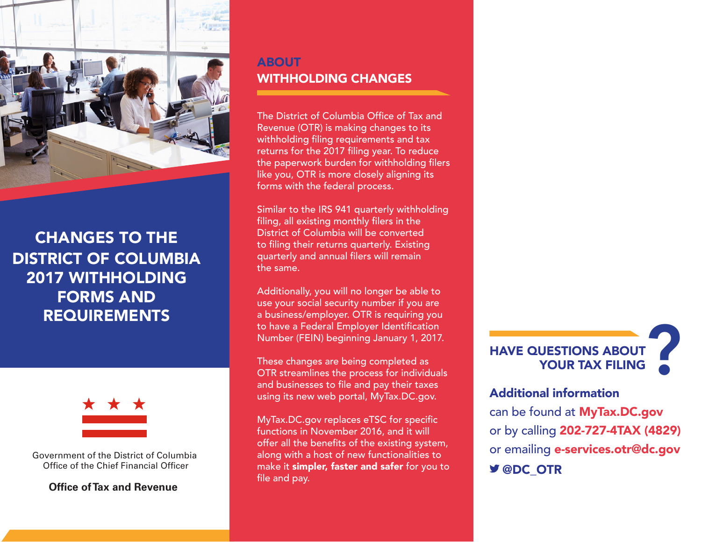

# CHANGES TO THE DISTRICT OF COLUMBIA 2017 WITHHOLDING FORMS AND REQUIREMENTS



Government of the District of Columbia Office of the Chief Financial Officer

**Office of Tax and Revenue**

# ABOUT WITHHOLDING CHANGES

The District of Columbia Office of Tax and Revenue (OTR) is making changes to its withholding filing requirements and tax returns for the 2017 filing year. To reduce the paperwork burden for withholding filers like you, OTR is more closely aligning its forms with the federal process.

Similar to the IRS 941 quarterly withholding filing, all existing monthly filers in the District of Columbia will be converted to filing their returns quarterly. Existing quarterly and annual filers will remain the same.

Additionally, you will no longer be able to use your social security number if you are a business/employer. OTR is requiring you to have a Federal Employer Identification Number (FEIN) beginning January 1, 2017.

These changes are being completed as OTR streamlines the process for individuals and businesses to file and pay their taxes using its new web portal, MyTax.DC.gov.

MyTax.DC.gov replaces eTSC for specific functions in November 2016, and it will offer all the benefits of the existing system, along with a host of new functionalities to make it simpler, faster and safer for you to file and pay.



## Additional information

can be found at MyTax.DC.gov or by calling 202-727-4TAX (4829) or emailing e-services.otr@dc.gov **Y** @DC OTR